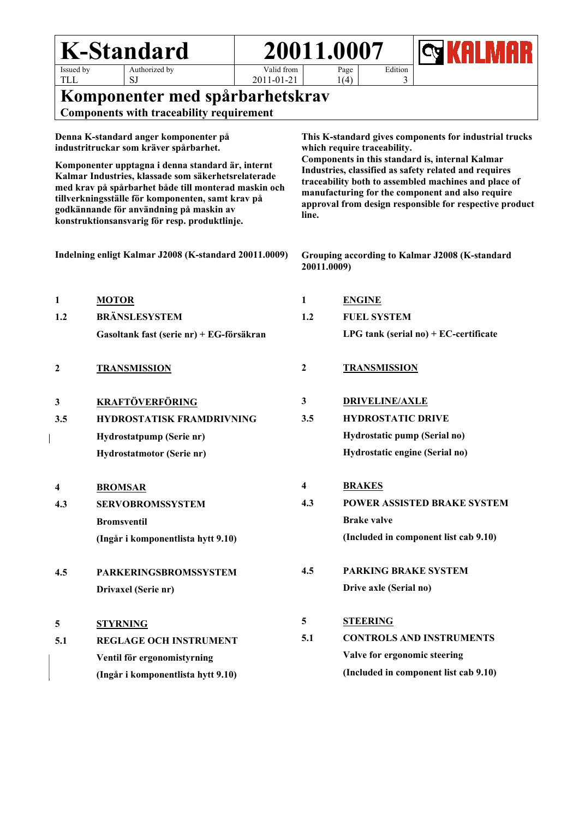| <b>K-Standard</b>                                                                                                                                                                                                                                                                                                 |                                          | 20011.0007              |                                                                                                                                                                                                                                                                                          |                                       |                                       |  |  |
|-------------------------------------------------------------------------------------------------------------------------------------------------------------------------------------------------------------------------------------------------------------------------------------------------------------------|------------------------------------------|-------------------------|------------------------------------------------------------------------------------------------------------------------------------------------------------------------------------------------------------------------------------------------------------------------------------------|---------------------------------------|---------------------------------------|--|--|
| Issued by<br>Authorized by<br><b>TLL</b><br>SJ                                                                                                                                                                                                                                                                    | Valid from<br>2011-01-21                 |                         | Page<br>1(4)                                                                                                                                                                                                                                                                             | Edition<br>3                          |                                       |  |  |
| Komponenter med spårbarhetskrav                                                                                                                                                                                                                                                                                   |                                          |                         |                                                                                                                                                                                                                                                                                          |                                       |                                       |  |  |
| <b>Components with traceability requirement</b>                                                                                                                                                                                                                                                                   |                                          |                         |                                                                                                                                                                                                                                                                                          |                                       |                                       |  |  |
| Denna K-standard anger komponenter på<br>industritruckar som kräver spårbarhet.                                                                                                                                                                                                                                   |                                          |                         | This K-standard gives components for industrial trucks<br>which require traceability.                                                                                                                                                                                                    |                                       |                                       |  |  |
| Komponenter upptagna i denna standard är, internt<br>Kalmar Industries, klassade som säkerhetsrelaterade<br>med krav på spårbarhet både till monterad maskin och<br>tillverkningsställe för komponenten, samt krav på<br>godkännande för användning på maskin av<br>konstruktionsansvarig för resp. produktlinje. |                                          |                         | Components in this standard is, internal Kalmar<br>Industries, classified as safety related and requires<br>traceability both to assembled machines and place of<br>manufacturing for the component and also require<br>approval from design responsible for respective product<br>line. |                                       |                                       |  |  |
| Indelning enligt Kalmar J2008 (K-standard 20011.0009)                                                                                                                                                                                                                                                             |                                          |                         | Grouping according to Kalmar J2008 (K-standard<br>20011.0009)                                                                                                                                                                                                                            |                                       |                                       |  |  |
| <b>MOTOR</b><br>1                                                                                                                                                                                                                                                                                                 |                                          | 1                       |                                                                                                                                                                                                                                                                                          | <b>ENGINE</b>                         |                                       |  |  |
| <b>BRÄNSLESYSTEM</b><br>1.2                                                                                                                                                                                                                                                                                       |                                          |                         | <b>FUEL SYSTEM</b>                                                                                                                                                                                                                                                                       |                                       |                                       |  |  |
| Gasoltank fast (serie nr) + EG-försäkran                                                                                                                                                                                                                                                                          | LPG tank (serial no) $+ EC$ -certificate |                         |                                                                                                                                                                                                                                                                                          |                                       |                                       |  |  |
| 2<br><b>TRANSMISSION</b>                                                                                                                                                                                                                                                                                          |                                          | $\boldsymbol{2}$        | <b>TRANSMISSION</b>                                                                                                                                                                                                                                                                      |                                       |                                       |  |  |
| <b>KRAFTÖVERFÖRING</b><br>3                                                                                                                                                                                                                                                                                       |                                          | 3                       | <b>DRIVELINE/AXLE</b>                                                                                                                                                                                                                                                                    |                                       |                                       |  |  |
| 3.5                                                                                                                                                                                                                                                                                                               | <b>HYDROSTATISK FRAMDRIVNING</b>         |                         | <b>HYDROSTATIC DRIVE</b>                                                                                                                                                                                                                                                                 |                                       |                                       |  |  |
| Hydrostatpump (Serie nr)                                                                                                                                                                                                                                                                                          |                                          |                         | Hydrostatic pump (Serial no)                                                                                                                                                                                                                                                             |                                       |                                       |  |  |
| Hydrostatmotor (Serie nr)                                                                                                                                                                                                                                                                                         |                                          |                         |                                                                                                                                                                                                                                                                                          |                                       | Hydrostatic engine (Serial no)        |  |  |
| <b>BROMSAR</b><br>4                                                                                                                                                                                                                                                                                               |                                          | $\overline{\mathbf{4}}$ | <b>BRAKES</b>                                                                                                                                                                                                                                                                            |                                       |                                       |  |  |
| 4.3<br><b>SERVOBROMSSYSTEM</b>                                                                                                                                                                                                                                                                                    |                                          | 4.3                     | POWER ASSISTED BRAKE SYSTEM                                                                                                                                                                                                                                                              |                                       |                                       |  |  |
| <b>Bromsventil</b>                                                                                                                                                                                                                                                                                                |                                          |                         | <b>Brake valve</b>                                                                                                                                                                                                                                                                       |                                       |                                       |  |  |
| (Ingår i komponentlista hytt 9.10)                                                                                                                                                                                                                                                                                |                                          |                         |                                                                                                                                                                                                                                                                                          |                                       | (Included in component list cab 9.10) |  |  |
| 4.5<br><b>PARKERINGSBROMSSYSTEM</b>                                                                                                                                                                                                                                                                               |                                          | 4.5                     |                                                                                                                                                                                                                                                                                          |                                       | <b>PARKING BRAKE SYSTEM</b>           |  |  |
| Drivaxel (Serie nr)                                                                                                                                                                                                                                                                                               |                                          |                         |                                                                                                                                                                                                                                                                                          | Drive axle (Serial no)                |                                       |  |  |
| 5<br><b>STYRNING</b>                                                                                                                                                                                                                                                                                              |                                          | 5                       |                                                                                                                                                                                                                                                                                          | <b>STEERING</b>                       |                                       |  |  |
| 5.1<br><b>REGLAGE OCH INSTRUMENT</b>                                                                                                                                                                                                                                                                              |                                          | 5.1                     |                                                                                                                                                                                                                                                                                          |                                       | <b>CONTROLS AND INSTRUMENTS</b>       |  |  |
| Ventil för ergonomistyrning                                                                                                                                                                                                                                                                                       |                                          |                         | Valve for ergonomic steering                                                                                                                                                                                                                                                             |                                       |                                       |  |  |
| (Ingår i komponentlista hytt 9.10)                                                                                                                                                                                                                                                                                |                                          |                         |                                                                                                                                                                                                                                                                                          | (Included in component list cab 9.10) |                                       |  |  |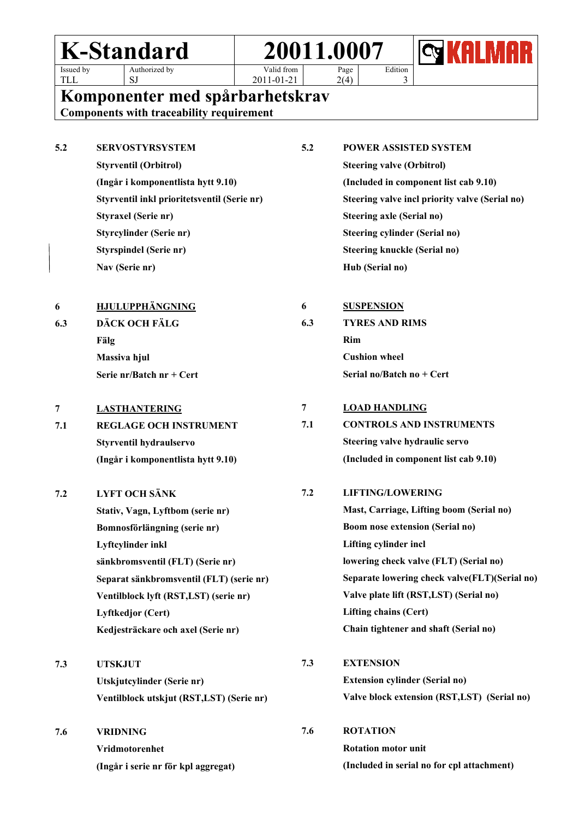## **K-Standard 20011.0007** Issued by Authorized by SJ Valid from 2011-01-21 Page  $2(4)$ Edition 3



TLL

**Komponenter med spårbarhetskrav**

**Components with traceability requirement**

| 5.2 | <b>SERVOSTYRSYSTEM</b>                      | 5.2            | <b>POWER ASSISTED SYSTEM</b>                   |
|-----|---------------------------------------------|----------------|------------------------------------------------|
|     | <b>Styrventil (Orbitrol)</b>                |                | <b>Steering valve (Orbitrol)</b>               |
|     | (Ingår i komponentlista hytt 9.10)          |                | (Included in component list cab 9.10)          |
|     | Styrventil inkl prioritetsventil (Serie nr) |                | Steering valve incl priority valve (Serial no) |
|     | <b>Styraxel (Serie nr)</b>                  |                | <b>Steering axle (Serial no)</b>               |
|     | Styrcylinder (Serie nr)                     |                | <b>Steering cylinder (Serial no)</b>           |
|     | <b>Styrspindel (Serie nr)</b>               |                | <b>Steering knuckle (Serial no)</b>            |
|     | Nav (Serie nr)                              |                | Hub (Serial no)                                |
| 6   | <b>HJULUPPHÄNGNING</b>                      | 6              | <b>SUSPENSION</b>                              |
| 6.3 | DÄCK OCH FÄLG                               | 6.3            | <b>TYRES AND RIMS</b>                          |
|     | Fälg                                        |                | Rim                                            |
|     | Massiva hjul                                |                | <b>Cushion wheel</b>                           |
|     | Serie nr/Batch nr + Cert                    |                | Serial no/Batch no + Cert                      |
| 7   | <b>LASTHANTERING</b>                        | $\overline{7}$ | <b>LOAD HANDLING</b>                           |
| 7.1 | <b>REGLAGE OCH INSTRUMENT</b>               | 7.1            | <b>CONTROLS AND INSTRUMENTS</b>                |
|     | Styrventil hydraulservo                     |                | Steering valve hydraulic servo                 |
|     | (Ingår i komponentlista hytt 9.10)          |                | (Included in component list cab 9.10)          |
| 7.2 | <b>LYFT OCH SÄNK</b>                        | 7.2            | <b>LIFTING/LOWERING</b>                        |
|     | Stativ, Vagn, Lyftbom (serie nr)            |                | Mast, Carriage, Lifting boom (Serial no)       |
|     | Bomnosförlängning (serie nr)                |                | <b>Boom nose extension (Serial no)</b>         |
|     | Lyftcylinder inkl                           |                | Lifting cylinder incl                          |
|     | sänkbromsventil (FLT) (Serie nr)            |                | lowering check valve (FLT) (Serial no)         |
|     | Separat sänkbromsventil (FLT) (serie nr)    |                | Separate lowering check valve(FLT)(Serial no)  |
|     | Ventilblock lyft (RST,LST) (serie nr)       |                | Valve plate lift (RST,LST) (Serial no)         |
|     | Lyftkedjor (Cert)                           |                | <b>Lifting chains (Cert)</b>                   |
|     | Kedjesträckare och axel (Serie nr)          |                | Chain tightener and shaft (Serial no)          |
| 7.3 | <b>UTSKJUT</b>                              | 7.3            | <b>EXTENSION</b>                               |
|     | Utskjutcylinder (Serie nr)                  |                | <b>Extension cylinder (Serial no)</b>          |
|     | Ventilblock utskjut (RST,LST) (Serie nr)    |                | Valve block extension (RST,LST) (Serial no)    |
| 7.6 | <b>VRIDNING</b>                             | 7.6            | <b>ROTATION</b>                                |
|     | Vridmotorenhet                              |                | <b>Rotation motor unit</b>                     |
|     | (Ingår i serie nr för kpl aggregat)         |                | (Included in serial no for cpl attachment)     |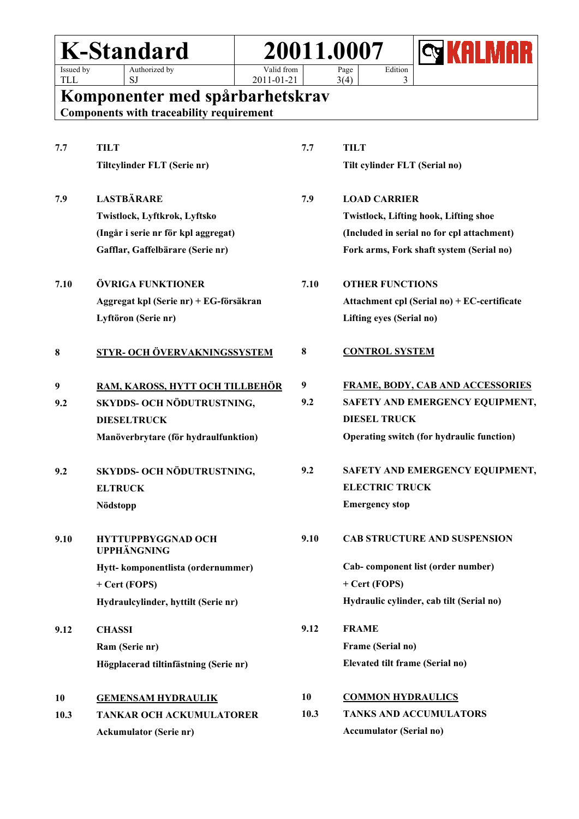| <b>K-Standard</b>                    |                                                 |                                                                                    | 20011.0007               |                                        |                                              |                                          |  |  |
|--------------------------------------|-------------------------------------------------|------------------------------------------------------------------------------------|--------------------------|----------------------------------------|----------------------------------------------|------------------------------------------|--|--|
| Issued by<br><b>TLL</b>              |                                                 | Authorized by<br><b>SJ</b>                                                         | Valid from<br>2011-01-21 |                                        | Page<br>3(4)                                 | Edition<br>3                             |  |  |
|                                      |                                                 | Komponenter med spårbarhetskrav<br><b>Components with traceability requirement</b> |                          |                                        |                                              |                                          |  |  |
| 7.7                                  | <b>TILT</b>                                     | Tiltcylinder FLT (Serie nr)                                                        |                          | 7.7                                    | <b>TILT</b>                                  | Tilt cylinder FLT (Serial no)            |  |  |
|                                      |                                                 |                                                                                    |                          |                                        |                                              |                                          |  |  |
| 7.9                                  |                                                 | <b>LASTBÄRARE</b>                                                                  |                          | 7.9                                    | <b>LOAD CARRIER</b>                          |                                          |  |  |
|                                      |                                                 | Twistlock, Lyftkrok, Lyftsko                                                       |                          |                                        | <b>Twistlock, Lifting hook, Lifting shoe</b> |                                          |  |  |
|                                      | (Ingår i serie nr för kpl aggregat)             |                                                                                    |                          |                                        | (Included in serial no for cpl attachment)   |                                          |  |  |
|                                      |                                                 | Gafflar, Gaffelbärare (Serie nr)                                                   |                          |                                        |                                              | Fork arms, Fork shaft system (Serial no) |  |  |
| 7.10                                 | ÖVRIGA FUNKTIONER                               |                                                                                    | 7.10                     | <b>OTHER FUNCTIONS</b>                 |                                              |                                          |  |  |
|                                      |                                                 | Aggregat kpl (Serie nr) + EG-försäkran                                             |                          |                                        | Attachment cpl (Serial no) + EC-certificate  |                                          |  |  |
| Lyftöron (Serie nr)                  |                                                 |                                                                                    |                          |                                        | Lifting eyes (Serial no)                     |                                          |  |  |
| 8                                    | STYR- OCH ÖVERVAKNINGSSYSTEM                    |                                                                                    |                          | 8                                      | <b>CONTROL SYSTEM</b>                        |                                          |  |  |
| 9                                    | RAM, KAROSS, HYTT OCH TILLBEHÖR                 |                                                                                    |                          | $\boldsymbol{9}$                       |                                              | <b>FRAME, BODY, CAB AND ACCESSORIES</b>  |  |  |
| 9.2                                  |                                                 | SKYDDS- OCH NÖDUTRUSTNING,                                                         |                          | 9.2<br>SAFETY AND EMERGENCY EQUIPMENT, |                                              |                                          |  |  |
|                                      |                                                 | <b>DIESELTRUCK</b>                                                                 |                          |                                        | <b>DIESEL TRUCK</b>                          |                                          |  |  |
| Manöverbrytare (för hydraulfunktion) |                                                 |                                                                                    |                          |                                        | Operating switch (for hydraulic function)    |                                          |  |  |
| 9.2                                  |                                                 | SKYDDS- OCH NÖDUTRUSTNING,                                                         |                          | 9.2                                    |                                              | SAFETY AND EMERGENCY EQUIPMENT,          |  |  |
|                                      | <b>ELTRUCK</b>                                  |                                                                                    |                          |                                        | <b>ELECTRIC TRUCK</b>                        |                                          |  |  |
|                                      | Nödstopp                                        |                                                                                    |                          |                                        | <b>Emergency stop</b>                        |                                          |  |  |
| 9.10                                 | <b>HYTTUPPBYGGNAD OCH</b><br><b>UPPHÄNGNING</b> |                                                                                    | 9.10                     | CAB STRUCTURE AND SUSPENSION           |                                              |                                          |  |  |
|                                      |                                                 | Hytt-komponentlista (ordernummer)                                                  |                          |                                        |                                              | Cab- component list (order number)       |  |  |
|                                      |                                                 | + Cert (FOPS)                                                                      |                          |                                        | + Cert (FOPS)                                |                                          |  |  |
|                                      |                                                 | Hydraulcylinder, hyttilt (Serie nr)                                                |                          |                                        |                                              | Hydraulic cylinder, cab tilt (Serial no) |  |  |
| 9.12                                 | <b>CHASSI</b>                                   |                                                                                    |                          | 9.12                                   | <b>FRAME</b>                                 |                                          |  |  |
|                                      |                                                 | Ram (Serie nr)                                                                     |                          |                                        | Frame (Serial no)                            |                                          |  |  |
|                                      |                                                 | Högplacerad tiltinfästning (Serie nr)                                              |                          |                                        |                                              | Elevated tilt frame (Serial no)          |  |  |
| 10                                   |                                                 | <b>GEMENSAM HYDRAULIK</b>                                                          |                          | 10                                     |                                              | <b>COMMON HYDRAULICS</b>                 |  |  |
| 10.3                                 |                                                 | <b>TANKAR OCH ACKUMULATORER</b>                                                    |                          | 10.3                                   |                                              | <b>TANKS AND ACCUMULATORS</b>            |  |  |
|                                      |                                                 | <b>Ackumulator (Serie nr)</b>                                                      |                          |                                        | <b>Accumulator (Serial no)</b>               |                                          |  |  |